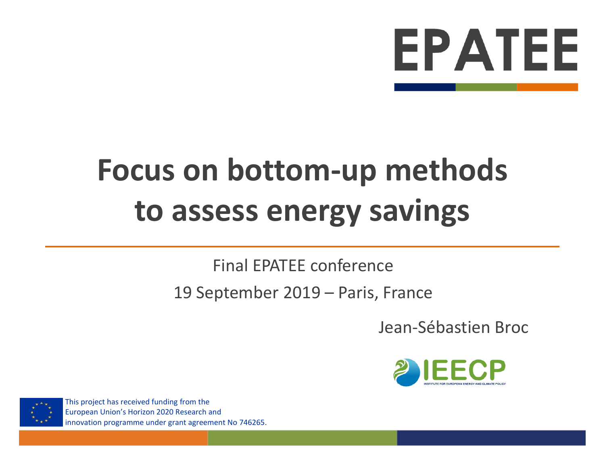

# **Focus on bottom-up methods to assess energy savings**

#### Final EPATEE conference

#### 19 September 2019 – Paris, France

Jean-Sébastien Broc





This project has received funding from the European Union's Horizon 2020 Research and innovation programme under grant agreement No 746265.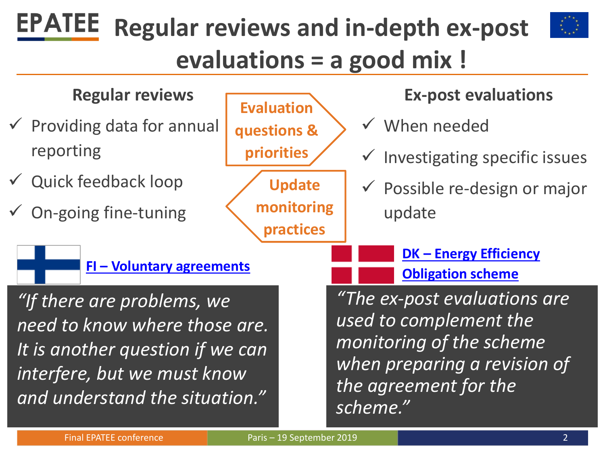### **EPATEE Regular reviews and in-depth ex-post evaluations = a good mix !**

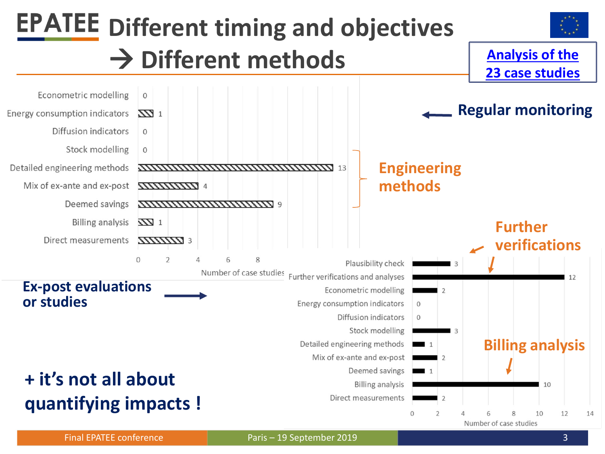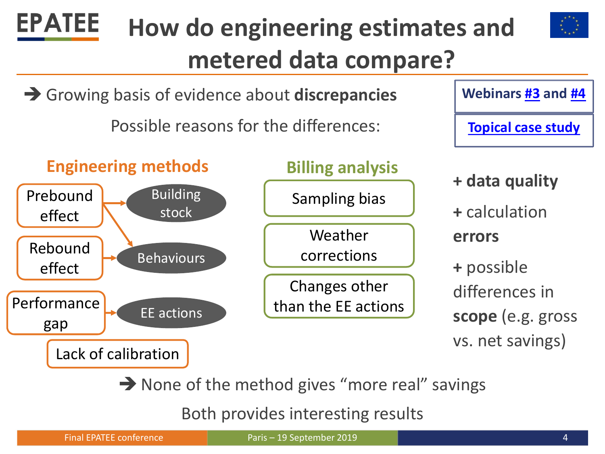

 $\rightarrow$  None of the method gives "more real" savings

Both provides interesting results

**EPATEE**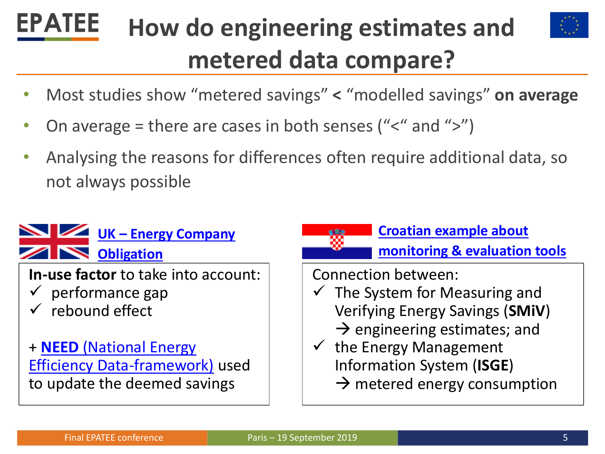### **EPATEE How do engineering estimates and metered data compare?**



- Most studies show "metered savings" **<** "modelled savings" **on average**
- On average = there are cases in both senses (" $\lt$ " and " $\gt$ ")
- Analysing the reasons for differences often require additional data, so not always possible